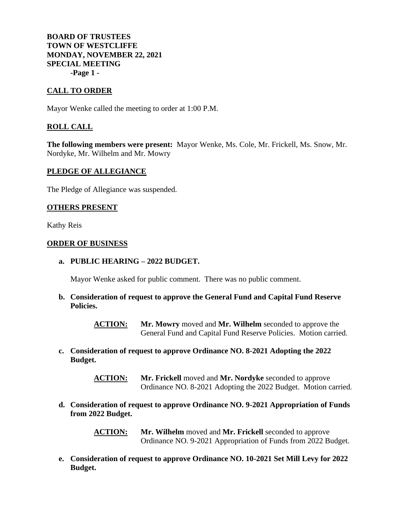**BOARD OF TRUSTEES TOWN OF WESTCLIFFE MONDAY, NOVEMBER 22, 2021 SPECIAL MEETING -Page 1 -**

# **CALL TO ORDER**

Mayor Wenke called the meeting to order at 1:00 P.M.

## **ROLL CALL**

**The following members were present:** Mayor Wenke, Ms. Cole, Mr. Frickell, Ms. Snow, Mr. Nordyke, Mr. Wilhelm and Mr. Mowry

#### **PLEDGE OF ALLEGIANCE**

The Pledge of Allegiance was suspended.

### **OTHERS PRESENT**

Kathy Reis

#### **ORDER OF BUSINESS**

**a. PUBLIC HEARING – 2022 BUDGET.**

Mayor Wenke asked for public comment. There was no public comment.

**b. Consideration of request to approve the General Fund and Capital Fund Reserve Policies.**

> **ACTION: Mr. Mowry** moved and **Mr. Wilhelm** seconded to approve the General Fund and Capital Fund Reserve Policies. Motion carried.

**c. Consideration of request to approve Ordinance NO. 8-2021 Adopting the 2022 Budget.**

> **ACTION: Mr. Frickell** moved and **Mr. Nordyke** seconded to approve Ordinance NO. 8-2021 Adopting the 2022 Budget. Motion carried.

**d. Consideration of request to approve Ordinance NO. 9-2021 Appropriation of Funds from 2022 Budget.**

> **ACTION: Mr. Wilhelm** moved and **Mr. Frickell** seconded to approve Ordinance NO. 9-2021 Appropriation of Funds from 2022 Budget.

**e. Consideration of request to approve Ordinance NO. 10-2021 Set Mill Levy for 2022 Budget.**